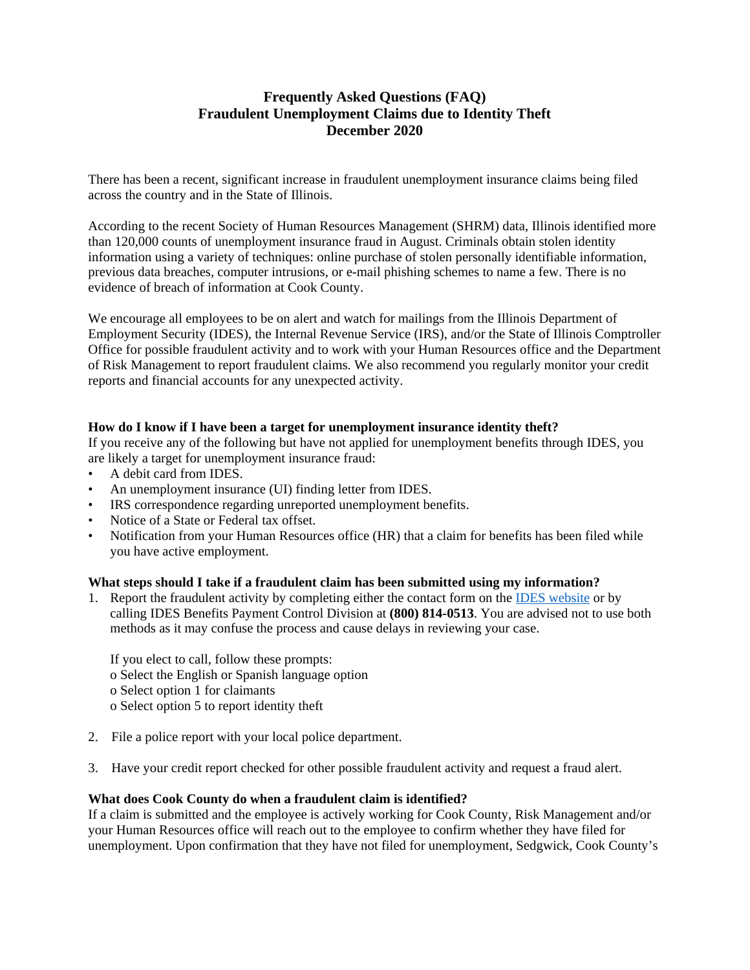# **Frequently Asked Questions (FAQ) Fraudulent Unemployment Claims due to Identity Theft December 2020**

There has been a recent, significant increase in fraudulent unemployment insurance claims being filed across the country and in the State of Illinois.

According to the recent Society of Human Resources Management (SHRM) data, Illinois identified more than 120,000 counts of unemployment insurance fraud in August. Criminals obtain stolen identity information using a variety of techniques: online purchase of stolen personally identifiable information, previous data breaches, computer intrusions, or e-mail phishing schemes to name a few. There is no evidence of breach of information at Cook County.

We encourage all employees to be on alert and watch for mailings from the Illinois Department of Employment Security (IDES), the Internal Revenue Service (IRS), and/or the State of Illinois Comptroller Office for possible fraudulent activity and to work with your Human Resources office and the Department of Risk Management to report fraudulent claims. We also recommend you regularly monitor your credit reports and financial accounts for any unexpected activity.

## **How do I know if I have been a target for unemployment insurance identity theft?**

If you receive any of the following but have not applied for unemployment benefits through IDES, you are likely a target for unemployment insurance fraud:

- A debit card from IDES.
- An unemployment insurance (UI) finding letter from IDES.
- IRS correspondence regarding unreported unemployment benefits.
- Notice of a State or Federal tax offset.
- Notification from your Human Resources office (HR) that a claim for benefits has been filed while you have active employment.

#### **What steps should I take if a fraudulent claim has been submitted using my information?**

1. Report the fraudulent activity by completing either the contact form on the [IDES website](https://www2.illinois.gov/ides/Pages/Reporting_Unemployment_Insurance_Fraud.aspx) or by calling IDES Benefits Payment Control Division at **(800) 814-0513**. You are advised not to use both methods as it may confuse the process and cause delays in reviewing your case.

If you elect to call, follow these prompts: o Select the English or Spanish language option o Select option 1 for claimants

- o Select option 5 to report identity theft
- 2. File a police report with your local police department.
- 3. Have your credit report checked for other possible fraudulent activity and request a fraud alert.

## **What does Cook County do when a fraudulent claim is identified?**

If a claim is submitted and the employee is actively working for Cook County, Risk Management and/or your Human Resources office will reach out to the employee to confirm whether they have filed for unemployment. Upon confirmation that they have not filed for unemployment, Sedgwick, Cook County's